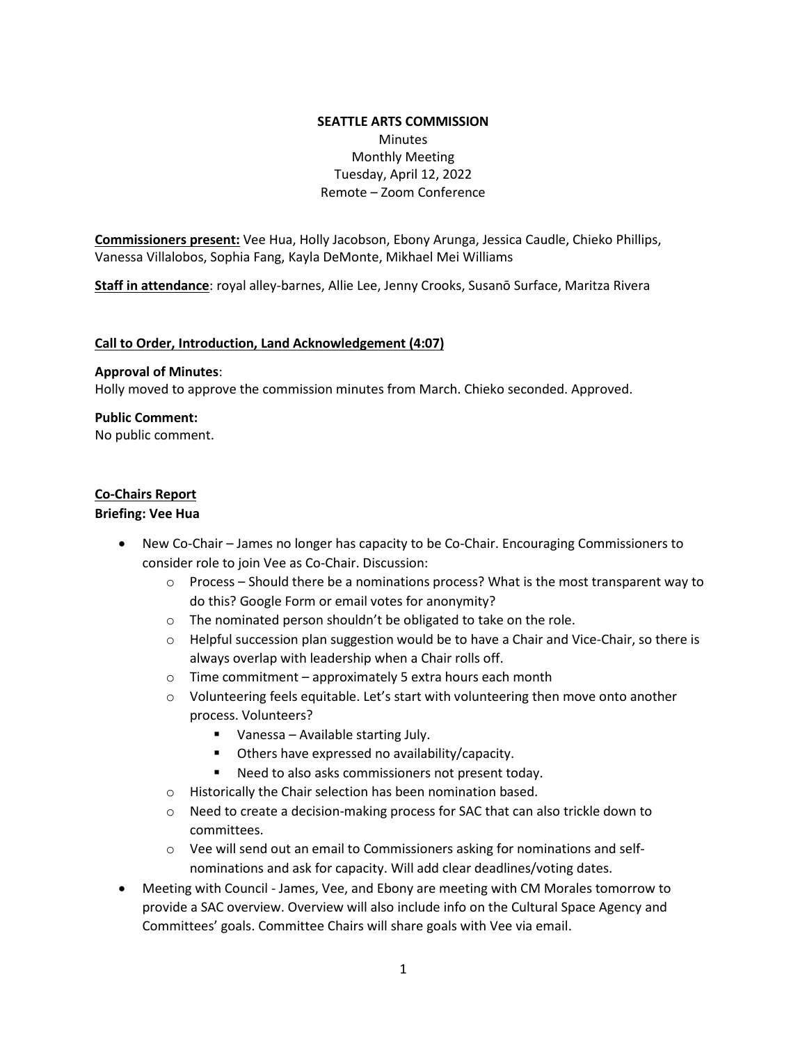### **SEATTLE ARTS COMMISSION**  Minutes Monthly Meeting Tuesday, April 12, 2022 Remote – Zoom Conference

**Commissioners present:** Vee Hua, Holly Jacobson, Ebony Arunga, Jessica Caudle, Chieko Phillips, Vanessa Villalobos, Sophia Fang, Kayla DeMonte, Mikhael Mei Williams

**Staff in attendance**: royal alley-barnes, Allie Lee, Jenny Crooks, Susanō Surface, Maritza Rivera

#### **Call to Order, Introduction, Land Acknowledgement (4:07)**

#### **Approval of Minutes**:

Holly moved to approve the commission minutes from March. Chieko seconded. Approved.

#### **Public Comment:**

No public comment.

### **Co-Chairs Report**

#### **Briefing: Vee Hua**

- New Co-Chair James no longer has capacity to be Co-Chair. Encouraging Commissioners to consider role to join Vee as Co-Chair. Discussion:
	- o Process Should there be a nominations process? What is the most transparent way to do this? Google Form or email votes for anonymity?
	- o The nominated person shouldn't be obligated to take on the role.
	- $\circ$  Helpful succession plan suggestion would be to have a Chair and Vice-Chair, so there is always overlap with leadership when a Chair rolls off.
	- o Time commitment approximately 5 extra hours each month
	- $\circ$  Volunteering feels equitable. Let's start with volunteering then move onto another process. Volunteers?
		- Vanessa Available starting July.
		- Others have expressed no availability/capacity.
		- Need to also asks commissioners not present today.
	- o Historically the Chair selection has been nomination based.
	- o Need to create a decision-making process for SAC that can also trickle down to committees.
	- $\circ$  Vee will send out an email to Commissioners asking for nominations and selfnominations and ask for capacity. Will add clear deadlines/voting dates.
- Meeting with Council James, Vee, and Ebony are meeting with CM Morales tomorrow to provide a SAC overview. Overview will also include info on the Cultural Space Agency and Committees' goals. Committee Chairs will share goals with Vee via email.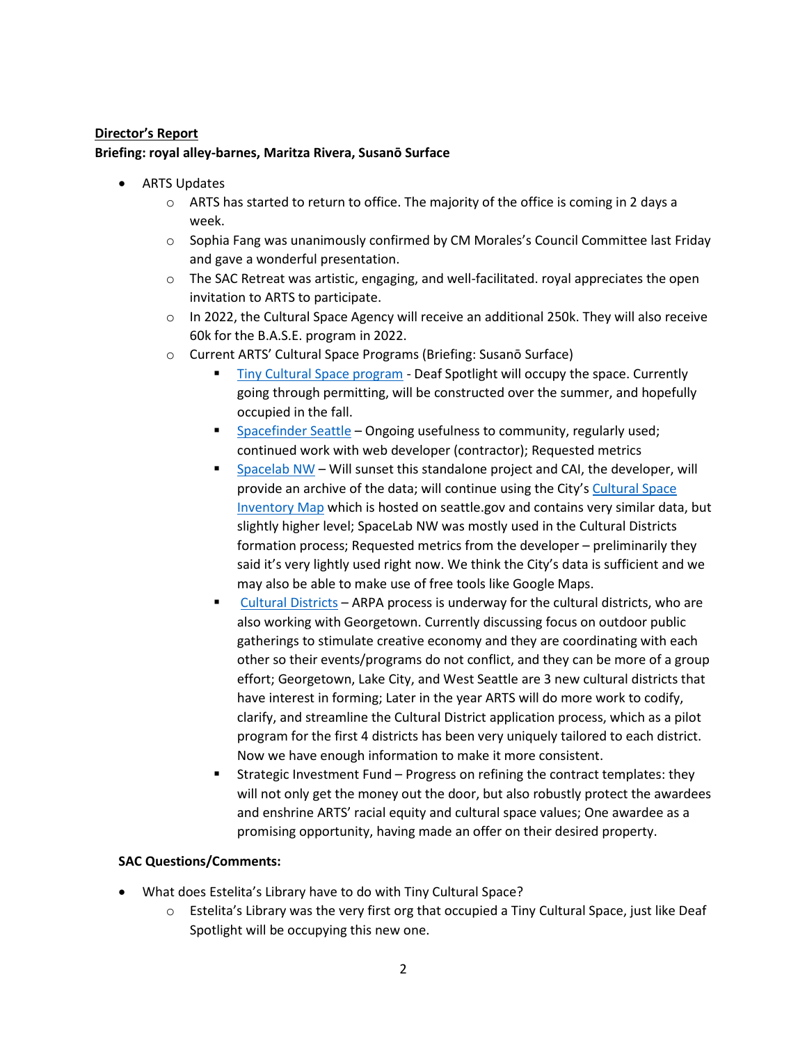# **Director's Report Briefing: royal alley-barnes, Maritza Rivera, Susanō Surface**

- ARTS Updates
	- $\circ$  ARTS has started to return to office. The majority of the office is coming in 2 days a week.
	- $\circ$  Sophia Fang was unanimously confirmed by CM Morales's Council Committee last Friday and gave a wonderful presentation.
	- o The SAC Retreat was artistic, engaging, and well-facilitated. royal appreciates the open invitation to ARTS to participate.
	- o In 2022, the Cultural Space Agency will receive an additional 250k. They will also receive 60k for the B.A.S.E. program in 2022.
	- o Current ARTS' Cultural Space Programs (Briefing: Susanō Surface)
		- Tiny Cultural Space program Deaf Spotlight will occupy the space. Currently going through permitting, will be constructed over the summer, and hopefully occupied in the fall.
		- Spacefinder Seattle Ongoing usefulness to community, regularly used; continued work with web developer (contractor); Requested metrics
		- Spacelab NW Will sunset this standalone project and CAI, the developer, will provide an archive of the data; will continue using the City's Cultural Space Inventory Map which is hosted on seattle.gov and contains very similar data, but slightly higher level; SpaceLab NW was mostly used in the Cultural Districts formation process; Requested metrics from the developer – preliminarily they said it's very lightly used right now. We think the City's data is sufficient and we may also be able to make use of free tools like Google Maps.
		- Cultural Districts ARPA process is underway for the cultural districts, who are also working with Georgetown. Currently discussing focus on outdoor public gatherings to stimulate creative economy and they are coordinating with each other so their events/programs do not conflict, and they can be more of a group effort; Georgetown, Lake City, and West Seattle are 3 new cultural districts that have interest in forming; Later in the year ARTS will do more work to codify, clarify, and streamline the Cultural District application process, which as a pilot program for the first 4 districts has been very uniquely tailored to each district. Now we have enough information to make it more consistent.
		- Strategic Investment Fund Progress on refining the contract templates: they will not only get the money out the door, but also robustly protect the awardees and enshrine ARTS' racial equity and cultural space values; One awardee as a promising opportunity, having made an offer on their desired property.

## **SAC Questions/Comments:**

- What does Estelita's Library have to do with Tiny Cultural Space?
	- o Estelita's Library was the very first org that occupied a Tiny Cultural Space, just like Deaf Spotlight will be occupying this new one.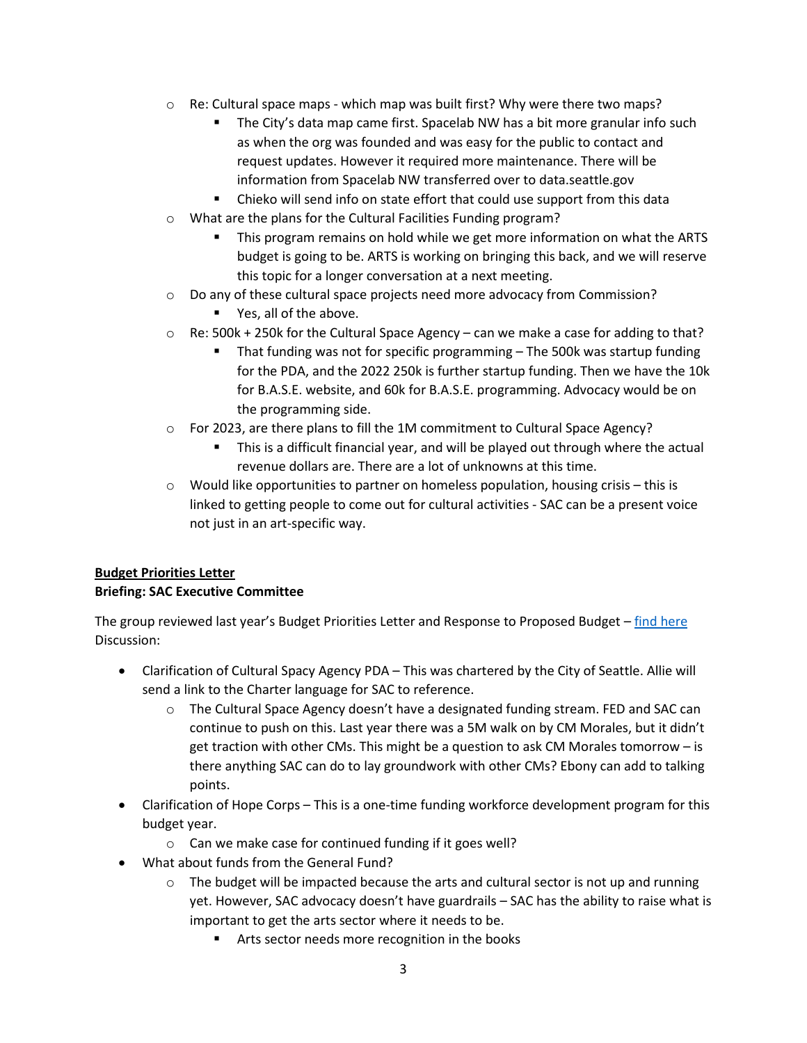- o Re: Cultural space maps which map was built first? Why were there two maps?
	- The City's data map came first. Spacelab NW has a bit more granular info such as when the org was founded and was easy for the public to contact and request updates. However it required more maintenance. There will be information from Spacelab NW transferred over to data.seattle.gov
	- Chieko will send info on state effort that could use support from this data
- o What are the plans for the Cultural Facilities Funding program?
	- This program remains on hold while we get more information on what the ARTS budget is going to be. ARTS is working on bringing this back, and we will reserve this topic for a longer conversation at a next meeting.
- o Do any of these cultural space projects need more advocacy from Commission?
	- Yes, all of the above.
- $\circ$  Re: 500k + 250k for the Cultural Space Agency can we make a case for adding to that?
	- That funding was not for specific programming The 500k was startup funding for the PDA, and the 2022 250k is further startup funding. Then we have the 10k for B.A.S.E. website, and 60k for B.A.S.E. programming. Advocacy would be on the programming side.
- o For 2023, are there plans to fill the 1M commitment to Cultural Space Agency?
	- This is a difficult financial year, and will be played out through where the actual revenue dollars are. There are a lot of unknowns at this time.
- $\circ$  Would like opportunities to partner on homeless population, housing crisis this is linked to getting people to come out for cultural activities - SAC can be a present voice not just in an art-specific way.

## **Budget Priorities Letter**

### **Briefing: SAC Executive Committee**

The group reviewed last year's Budget Priorities Letter and Response to Proposed Budget - find here Discussion:

- Clarification of Cultural Spacy Agency PDA This was chartered by the City of Seattle. Allie will send a link to the Charter language for SAC to reference.
	- o The Cultural Space Agency doesn't have a designated funding stream. FED and SAC can continue to push on this. Last year there was a 5M walk on by CM Morales, but it didn't get traction with other CMs. This might be a question to ask CM Morales tomorrow – is there anything SAC can do to lay groundwork with other CMs? Ebony can add to talking points.
- Clarification of Hope Corps This is a one-time funding workforce development program for this budget year.
	- o Can we make case for continued funding if it goes well?
- What about funds from the General Fund?
	- $\circ$  The budget will be impacted because the arts and cultural sector is not up and running yet. However, SAC advocacy doesn't have guardrails – SAC has the ability to raise what is important to get the arts sector where it needs to be.
		- **EXECT** Arts sector needs more recognition in the books